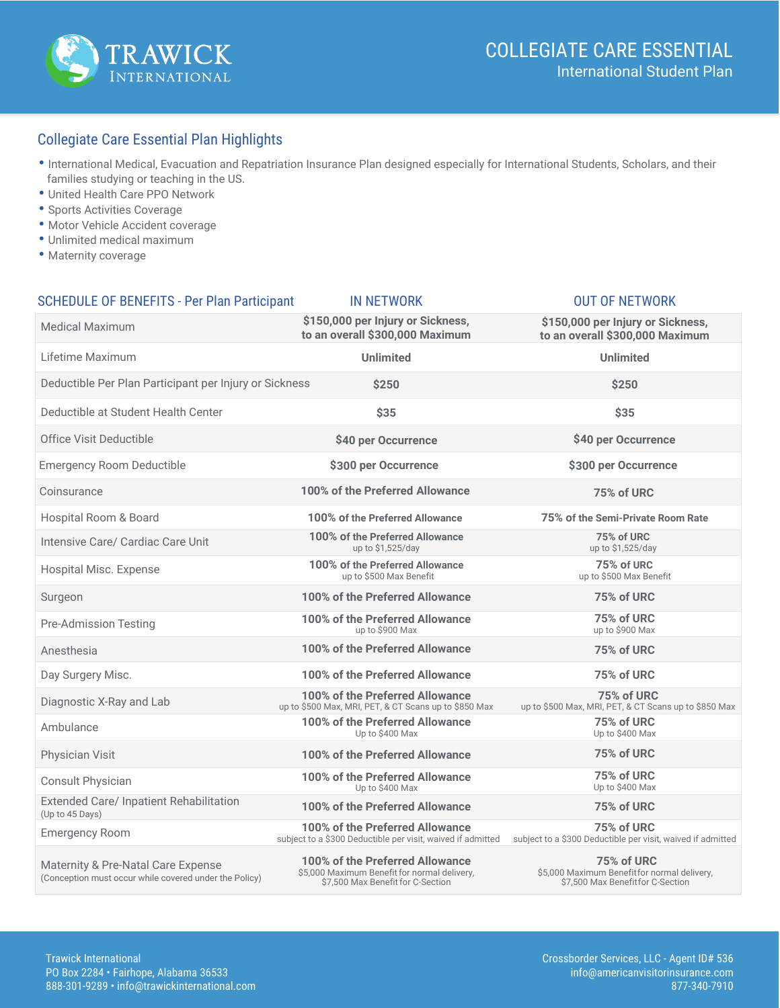

## Collegiate Care Essential Plan Highlights

- International Medical, Evacuation and Repatriation Insurance Plan designed especially for International Students, Scholars, and their families studying or teaching in the US.
- United Health Care PPO Network
- Sports Activities Coverage
- Motor Vehicle Accident coverage
- Unlimited medical maximum
- Maternity coverage

| <b>SCHEDULE OF BENEFITS - Per Plan Participant</b>                                           | <b>IN NETWORK</b>                                                                                                    | <b>OUT OF NETWORK</b>                                                                          |
|----------------------------------------------------------------------------------------------|----------------------------------------------------------------------------------------------------------------------|------------------------------------------------------------------------------------------------|
| <b>Medical Maximum</b>                                                                       | \$150,000 per Injury or Sickness,<br>to an overall \$300,000 Maximum                                                 | \$150,000 per Injury or Sickness,<br>to an overall \$300,000 Maximum                           |
| Lifetime Maximum                                                                             | <b>Unlimited</b>                                                                                                     | <b>Unlimited</b>                                                                               |
| Deductible Per Plan Participant per Injury or Sickness                                       | \$250                                                                                                                | \$250                                                                                          |
| Deductible at Student Health Center                                                          | \$35                                                                                                                 | \$35                                                                                           |
| Office Visit Deductible                                                                      | \$40 per Occurrence                                                                                                  | \$40 per Occurrence                                                                            |
| <b>Emergency Room Deductible</b>                                                             | \$300 per Occurrence                                                                                                 | \$300 per Occurrence                                                                           |
| Coinsurance                                                                                  | 100% of the Preferred Allowance                                                                                      | 75% of URC                                                                                     |
| Hospital Room & Board                                                                        | 100% of the Preferred Allowance                                                                                      | 75% of the Semi-Private Room Rate                                                              |
| Intensive Care/ Cardiac Care Unit                                                            | 100% of the Preferred Allowance<br>up to \$1,525/day                                                                 | 75% of URC<br>up to \$1,525/day                                                                |
| Hospital Misc. Expense                                                                       | 100% of the Preferred Allowance<br>up to \$500 Max Benefit                                                           | 75% of URC<br>up to \$500 Max Benefit                                                          |
| Surgeon                                                                                      | 100% of the Preferred Allowance                                                                                      | 75% of URC                                                                                     |
| Pre-Admission Testing                                                                        | 100% of the Preferred Allowance<br>up to \$900 Max                                                                   | 75% of URC<br>up to \$900 Max                                                                  |
| Anesthesia                                                                                   | 100% of the Preferred Allowance                                                                                      | 75% of URC                                                                                     |
| Day Surgery Misc.                                                                            | 100% of the Preferred Allowance                                                                                      | 75% of URC                                                                                     |
| Diagnostic X-Ray and Lab                                                                     | 100% of the Preferred Allowance<br>up to \$500 Max, MRI, PET, & CT Scans up to \$850 Max                             | 75% of URC<br>up to \$500 Max, MRI, PET, & CT Scans up to \$850 Max                            |
| Ambulance                                                                                    | 100% of the Preferred Allowance<br>Up to \$400 Max                                                                   | 75% of URC<br>Up to \$400 Max                                                                  |
| Physician Visit                                                                              | 100% of the Preferred Allowance                                                                                      | 75% of URC                                                                                     |
| Consult Physician                                                                            | 100% of the Preferred Allowance<br>Up to \$400 Max                                                                   | 75% of URC<br>Up to \$400 Max                                                                  |
| Extended Care/ Inpatient Rehabilitation<br>(Up to 45 Days)                                   | 100% of the Preferred Allowance                                                                                      | 75% of URC                                                                                     |
| <b>Emergency Room</b>                                                                        | 100% of the Preferred Allowance<br>subject to a \$300 Deductible per visit, waived if admitted                       | 75% of URC<br>subject to a \$300 Deductible per visit, waived if admitted                      |
| Maternity & Pre-Natal Care Expense<br>(Conception must occur while covered under the Policy) | 100% of the Preferred Allowance<br>\$5,000 Maximum Benefit for normal delivery,<br>\$7,500 Max Benefit for C-Section | 75% of URC<br>\$5,000 Maximum Benefitfor normal delivery,<br>\$7,500 Max Benefit for C-Section |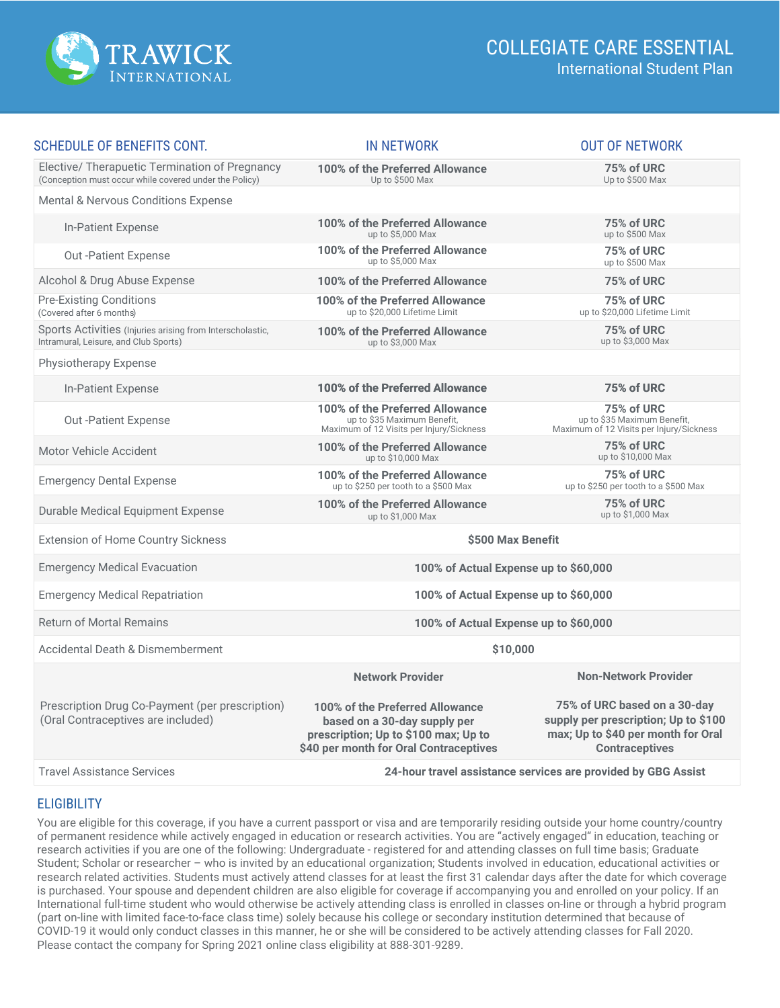

| <b>SCHEDULE OF BENEFITS CONT.</b>                                                                        | <b>IN NETWORK</b>                                                                                                                                 | <b>OUT OF NETWORK</b>                                                                                                               |  |
|----------------------------------------------------------------------------------------------------------|---------------------------------------------------------------------------------------------------------------------------------------------------|-------------------------------------------------------------------------------------------------------------------------------------|--|
| Elective/ Therapuetic Termination of Pregnancy<br>(Conception must occur while covered under the Policy) | 100% of the Preferred Allowance<br>Up to \$500 Max                                                                                                | <b>75% of URC</b><br>Up to \$500 Max                                                                                                |  |
| Mental & Nervous Conditions Expense                                                                      |                                                                                                                                                   |                                                                                                                                     |  |
| <b>In-Patient Expense</b>                                                                                | 100% of the Preferred Allowance<br>up to \$5,000 Max                                                                                              | 75% of URC<br>up to \$500 Max                                                                                                       |  |
| <b>Out-Patient Expense</b>                                                                               | 100% of the Preferred Allowance<br>up to \$5,000 Max                                                                                              | 75% of URC<br>up to \$500 Max                                                                                                       |  |
| Alcohol & Drug Abuse Expense                                                                             | 100% of the Preferred Allowance                                                                                                                   | 75% of URC                                                                                                                          |  |
| <b>Pre-Existing Conditions</b><br>(Covered after 6 months)                                               | 100% of the Preferred Allowance<br>up to \$20,000 Lifetime Limit                                                                                  | 75% of URC<br>up to \$20,000 Lifetime Limit                                                                                         |  |
| Sports Activities (Injuries arising from Interscholastic,<br>Intramural, Leisure, and Club Sports)       | 100% of the Preferred Allowance<br>up to \$3,000 Max                                                                                              | 75% of URC<br>up to \$3,000 Max                                                                                                     |  |
| Physiotherapy Expense                                                                                    |                                                                                                                                                   |                                                                                                                                     |  |
| <b>In-Patient Expense</b>                                                                                | 100% of the Preferred Allowance                                                                                                                   | 75% of URC                                                                                                                          |  |
| <b>Out-Patient Expense</b>                                                                               | 100% of the Preferred Allowance<br>up to \$35 Maximum Benefit,<br>Maximum of 12 Visits per Injury/Sickness                                        | 75% of URC<br>up to \$35 Maximum Benefit,<br>Maximum of 12 Visits per Injury/Sickness                                               |  |
| Motor Vehicle Accident                                                                                   | 100% of the Preferred Allowance<br>up to \$10,000 Max                                                                                             | 75% of URC<br>up to \$10,000 Max                                                                                                    |  |
| <b>Emergency Dental Expense</b>                                                                          | 100% of the Preferred Allowance<br>up to \$250 per tooth to a \$500 Max                                                                           | 75% of URC<br>up to \$250 per tooth to a \$500 Max                                                                                  |  |
| Durable Medical Equipment Expense                                                                        | 100% of the Preferred Allowance<br>up to \$1,000 Max                                                                                              | 75% of URC<br>up to \$1,000 Max                                                                                                     |  |
| <b>Extension of Home Country Sickness</b>                                                                | \$500 Max Benefit                                                                                                                                 |                                                                                                                                     |  |
| <b>Emergency Medical Evacuation</b>                                                                      | 100% of Actual Expense up to \$60,000                                                                                                             |                                                                                                                                     |  |
| <b>Emergency Medical Repatriation</b>                                                                    | 100% of Actual Expense up to \$60,000                                                                                                             |                                                                                                                                     |  |
| <b>Return of Mortal Remains</b>                                                                          | 100% of Actual Expense up to \$60,000                                                                                                             |                                                                                                                                     |  |
| Accidental Death & Dismemberment                                                                         | \$10,000                                                                                                                                          |                                                                                                                                     |  |
|                                                                                                          | <b>Network Provider</b>                                                                                                                           | <b>Non-Network Provider</b>                                                                                                         |  |
| Prescription Drug Co-Payment (per prescription)<br>(Oral Contraceptives are included)                    | 100% of the Preferred Allowance<br>based on a 30-day supply per<br>prescription; Up to \$100 max; Up to<br>\$40 per month for Oral Contraceptives | 75% of URC based on a 30-day<br>supply per prescription; Up to \$100<br>max; Up to \$40 per month for Oral<br><b>Contraceptives</b> |  |
| <b>Travel Assistance Services</b>                                                                        | 24-hour travel assistance services are provided by GBG Assist                                                                                     |                                                                                                                                     |  |

### **ELIGIBILITY**

You are eligible for this coverage, if you have a current passport or visa and are temporarily residing outside your home country/country of permanent residence while actively engaged in education or research activities. You are "actively engaged" in education, teaching or research activities if you are one of the following: Undergraduate - registered for and attending classes on full time basis; Graduate Student; Scholar or researcher – who is invited by an educational organization; Students involved in education, educational activities or research related activities. Students must actively attend classes for at least the first 31 calendar days after the date for which coverage is purchased. Your spouse and dependent children are also eligible for coverage if accompanying you and enrolled on your policy. If an International full-time student who would otherwise be actively attending class is enrolled in classes on-line or through a hybrid program (part on-line with limited face-to-face class time) solely because his college or secondary institution determined that because of COVID-19 it would only conduct classes in this manner, he or she will be considered to be actively attending classes for Fall 2020. Please contact the company for Spring 2021 online class eligibility at 888-301-9289.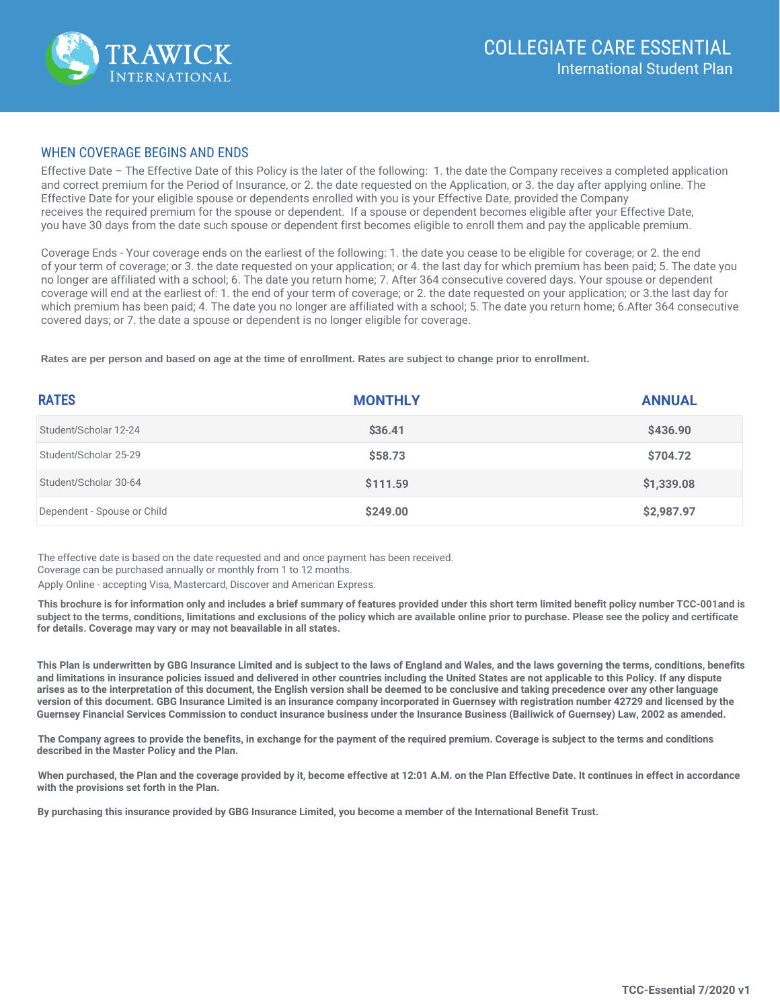

#### WHEN COVERAGE BEGINS AND ENDS

Effective Date – The Effective Date of this Policy is the later of the following: 1. the date the Company receives a completed application and correct premium for the Period of Insurance, or 2. the date requested on the Application, or 3. the day after applying online. The Effective Date for your eligible spouse or dependents enrolled with you is your Effective Date, provided the Company receives the required premium for the spouse or dependent. If a spouse or dependent becomes eligible after your Effective Date, you have 30 days from the date such spouse or dependent first becomes eligible to enroll them and pay the applicable premium.

Coverage Ends - Your coverage ends on the earliest of the following: 1. the date you cease to be eligible for coverage; or 2. the end of your term of coverage; or 3. the date requested on your application; or 4. the last day for which premium has been paid; 5. The date you no longer are affiliated with a school; 6. The date you return home; 7. After 364 consecutive covered days. Your spouse or dependent coverage will end at the earliest of: 1. the end of your term of coverage; or 2. the date requested on your application; or 3.the last day for which premium has been paid; 4. The date you no longer are affiliated with a school; 5. The date you return home; 6.After 364 consecutive covered days; or 7. the date a spouse or dependent is no longer eligible for coverage.

**Rates are per person and based on age at the time of enrollment. Rates are subject to change prior to enrollment.**

| <b>RATES</b>                | <b>MONTHLY</b> | <b>ANNUAL</b> |
|-----------------------------|----------------|---------------|
| Student/Scholar 12-24       | \$36.41        | \$436.90      |
| Student/Scholar 25-29       | \$58.73        | \$704.72      |
| Student/Scholar 30-64       | \$111.59       | \$1,339.08    |
| Dependent - Spouse or Child | \$249.00       | \$2,987.97    |

The effective date is based on the date requested and and once payment has been received.

Coverage can be purchased annually or monthly from 1 to 12 months.

Apply Online - accepting Visa, Mastercard, Discover and American Express.

**This brochure is for information only and includes a brief summary of features provided under this short term limited benefit policy number TCC-001and is subject to the terms, conditions, limitations and exclusions of the policy which are available online prior to purchase. Please see the policy and certificate for details. Coverage may vary or may not beavailable in all states.**

**This Plan is underwritten by GBG Insurance Limited and is subject to the laws of England and Wales, and the laws governing the terms, conditions, benefits and limitations in insurance policies issued and delivered in other countries including the United States are not applicable to this Policy. If any dispute arises as to the interpretation of this document, the English version shall be deemed to be conclusive and taking precedence over any other language version of this document. GBG Insurance Limited is an insurance company incorporated in Guernsey with registration number 42729 and licensed by the Guernsey Financial Services Commission to conduct insurance business under the Insurance Business (Bailiwick of Guernsey) Law, 2002 as amended.** 

**The Company agrees to provide the benefits, in exchange for the payment of the required premium. Coverage is subject to the terms and conditions described in the Master Policy and the Plan.**

**When purchased, the Plan and the coverage provided by it, become effective at 12:01 A.M. on the Plan Effective Date. It continues in effect in accordance with the provisions set forth in the Plan.**

**By purchasing this insurance provided by GBG Insurance Limited, you become a member of the International Benefit Trust.**